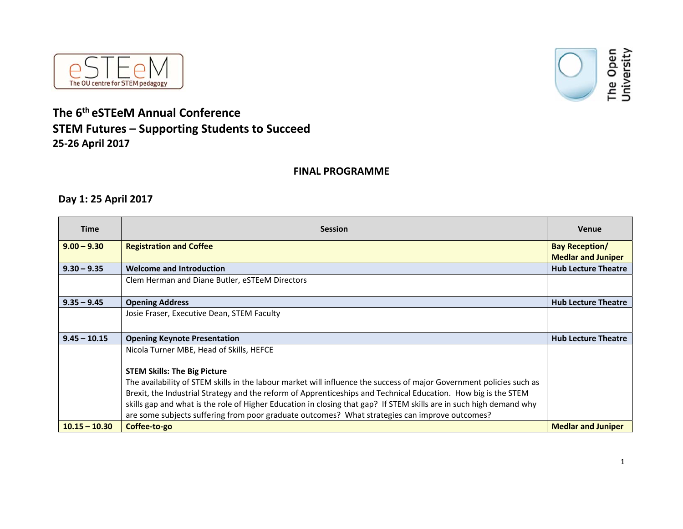



# **The 6th eSTEeM Annual Conference STEM Futures – Supporting Students to Succeed 25‐26 April 2017**

#### **FINAL PROGRAMME**

### **Day 1: 25 April 2017**

| <b>Time</b>     | <b>Session</b>                                                                                                       | <b>Venue</b>               |
|-----------------|----------------------------------------------------------------------------------------------------------------------|----------------------------|
| $9.00 - 9.30$   | <b>Registration and Coffee</b>                                                                                       | <b>Bay Reception/</b>      |
|                 |                                                                                                                      | <b>Medlar and Juniper</b>  |
| $9.30 - 9.35$   | <b>Welcome and Introduction</b>                                                                                      | <b>Hub Lecture Theatre</b> |
|                 | Clem Herman and Diane Butler, eSTEeM Directors                                                                       |                            |
|                 |                                                                                                                      |                            |
| $9.35 - 9.45$   | <b>Opening Address</b>                                                                                               | <b>Hub Lecture Theatre</b> |
|                 | Josie Fraser, Executive Dean, STEM Faculty                                                                           |                            |
|                 |                                                                                                                      |                            |
| $9.45 - 10.15$  | <b>Opening Keynote Presentation</b>                                                                                  | <b>Hub Lecture Theatre</b> |
|                 | Nicola Turner MBE, Head of Skills, HEFCE                                                                             |                            |
|                 |                                                                                                                      |                            |
|                 | <b>STEM Skills: The Big Picture</b>                                                                                  |                            |
|                 | The availability of STEM skills in the labour market will influence the success of major Government policies such as |                            |
|                 | Brexit, the Industrial Strategy and the reform of Apprenticeships and Technical Education. How big is the STEM       |                            |
|                 | skills gap and what is the role of Higher Education in closing that gap? If STEM skills are in such high demand why  |                            |
|                 | are some subjects suffering from poor graduate outcomes? What strategies can improve outcomes?                       |                            |
| $10.15 - 10.30$ | Coffee-to-go                                                                                                         | <b>Medlar and Juniper</b>  |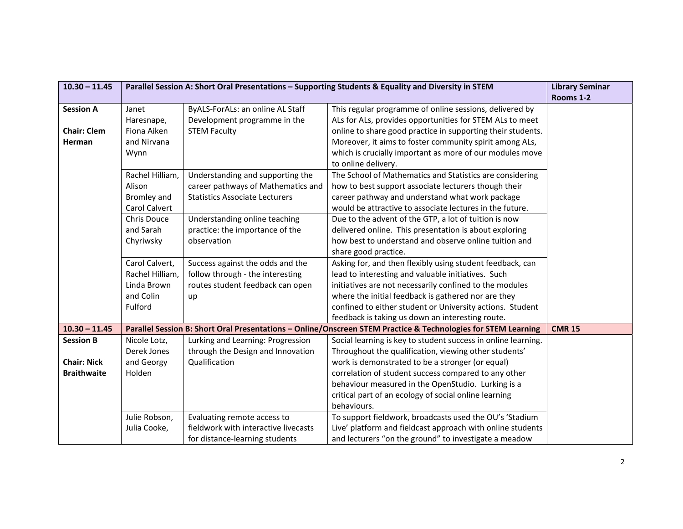| $10.30 - 11.45$    | Parallel Session A: Short Oral Presentations - Supporting Students & Equality and Diversity in STEM |                                       | <b>Library Seminar</b>                                                                                        |               |
|--------------------|-----------------------------------------------------------------------------------------------------|---------------------------------------|---------------------------------------------------------------------------------------------------------------|---------------|
|                    |                                                                                                     |                                       |                                                                                                               | Rooms 1-2     |
| <b>Session A</b>   | Janet                                                                                               | ByALS-ForALs: an online AL Staff      | This regular programme of online sessions, delivered by                                                       |               |
|                    | Haresnape,                                                                                          | Development programme in the          | ALs for ALs, provides opportunities for STEM ALs to meet                                                      |               |
| <b>Chair: Clem</b> | Fiona Aiken                                                                                         | <b>STEM Faculty</b>                   | online to share good practice in supporting their students.                                                   |               |
| Herman             | and Nirvana                                                                                         |                                       | Moreover, it aims to foster community spirit among ALs,                                                       |               |
|                    | Wynn                                                                                                |                                       | which is crucially important as more of our modules move                                                      |               |
|                    |                                                                                                     |                                       | to online delivery.                                                                                           |               |
|                    | Rachel Hilliam,                                                                                     | Understanding and supporting the      | The School of Mathematics and Statistics are considering                                                      |               |
|                    | Alison                                                                                              | career pathways of Mathematics and    | how to best support associate lecturers though their                                                          |               |
|                    | Bromley and                                                                                         | <b>Statistics Associate Lecturers</b> | career pathway and understand what work package                                                               |               |
|                    | Carol Calvert                                                                                       |                                       | would be attractive to associate lectures in the future.                                                      |               |
|                    | Chris Douce                                                                                         | Understanding online teaching         | Due to the advent of the GTP, a lot of tuition is now                                                         |               |
|                    | and Sarah                                                                                           | practice: the importance of the       | delivered online. This presentation is about exploring                                                        |               |
|                    | Chyriwsky                                                                                           | observation                           | how best to understand and observe online tuition and                                                         |               |
|                    |                                                                                                     |                                       | share good practice.                                                                                          |               |
|                    | Carol Calvert,                                                                                      | Success against the odds and the      | Asking for, and then flexibly using student feedback, can                                                     |               |
|                    | Rachel Hilliam,                                                                                     | follow through - the interesting      | lead to interesting and valuable initiatives. Such                                                            |               |
|                    | Linda Brown                                                                                         | routes student feedback can open      | initiatives are not necessarily confined to the modules                                                       |               |
|                    | and Colin                                                                                           | up                                    | where the initial feedback is gathered nor are they                                                           |               |
|                    | Fulford                                                                                             |                                       | confined to either student or University actions. Student                                                     |               |
|                    |                                                                                                     |                                       | feedback is taking us down an interesting route.                                                              |               |
| $10.30 - 11.45$    |                                                                                                     |                                       | Parallel Session B: Short Oral Presentations - Online/Onscreen STEM Practice & Technologies for STEM Learning | <b>CMR 15</b> |
| <b>Session B</b>   | Nicole Lotz,                                                                                        | Lurking and Learning: Progression     | Social learning is key to student success in online learning.                                                 |               |
|                    | Derek Jones                                                                                         | through the Design and Innovation     | Throughout the qualification, viewing other students'                                                         |               |
| <b>Chair: Nick</b> | and Georgy                                                                                          | Qualification                         | work is demonstrated to be a stronger (or equal)                                                              |               |
| <b>Braithwaite</b> | Holden                                                                                              |                                       | correlation of student success compared to any other                                                          |               |
|                    |                                                                                                     |                                       | behaviour measured in the OpenStudio. Lurking is a                                                            |               |
|                    |                                                                                                     |                                       | critical part of an ecology of social online learning                                                         |               |
|                    |                                                                                                     |                                       | behaviours.                                                                                                   |               |
|                    | Julie Robson,                                                                                       | Evaluating remote access to           | To support fieldwork, broadcasts used the OU's 'Stadium                                                       |               |
|                    | Julia Cooke,                                                                                        | fieldwork with interactive livecasts  | Live' platform and fieldcast approach with online students                                                    |               |
|                    |                                                                                                     | for distance-learning students        | and lecturers "on the ground" to investigate a meadow                                                         |               |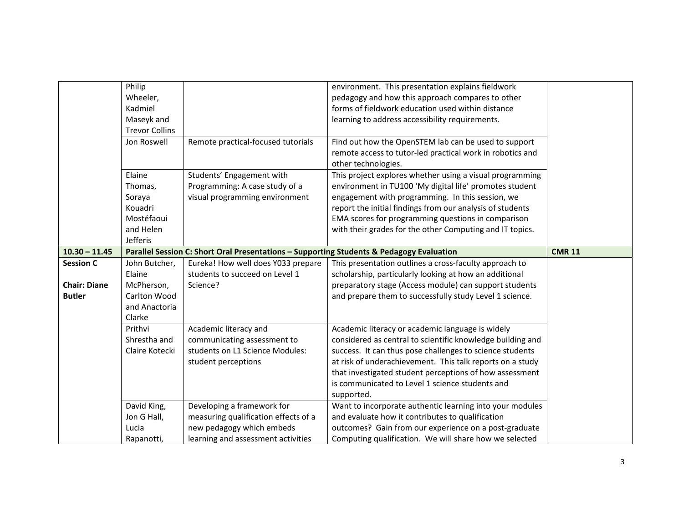|                     | Philip<br>Wheeler,<br>Kadmiel       |                                                                                          | environment. This presentation explains fieldwork<br>pedagogy and how this approach compares to other<br>forms of fieldwork education used within distance |               |
|---------------------|-------------------------------------|------------------------------------------------------------------------------------------|------------------------------------------------------------------------------------------------------------------------------------------------------------|---------------|
|                     | Maseyk and<br><b>Trevor Collins</b> |                                                                                          | learning to address accessibility requirements.                                                                                                            |               |
|                     | Jon Roswell                         | Remote practical-focused tutorials                                                       | Find out how the OpenSTEM lab can be used to support<br>remote access to tutor-led practical work in robotics and<br>other technologies.                   |               |
|                     | Elaine                              | Students' Engagement with                                                                | This project explores whether using a visual programming                                                                                                   |               |
|                     | Thomas,                             | Programming: A case study of a                                                           | environment in TU100 'My digital life' promotes student                                                                                                    |               |
|                     | Soraya                              | visual programming environment                                                           | engagement with programming. In this session, we                                                                                                           |               |
|                     | Kouadri                             |                                                                                          | report the initial findings from our analysis of students                                                                                                  |               |
|                     | Mostéfaoui                          |                                                                                          | EMA scores for programming questions in comparison                                                                                                         |               |
|                     | and Helen                           |                                                                                          | with their grades for the other Computing and IT topics.                                                                                                   |               |
|                     | Jefferis                            |                                                                                          |                                                                                                                                                            |               |
| $10.30 - 11.45$     |                                     | Parallel Session C: Short Oral Presentations - Supporting Students & Pedagogy Evaluation |                                                                                                                                                            | <b>CMR 11</b> |
| <b>Session C</b>    | John Butcher,                       | Eureka! How well does Y033 prepare                                                       | This presentation outlines a cross-faculty approach to                                                                                                     |               |
|                     | Elaine                              | students to succeed on Level 1                                                           | scholarship, particularly looking at how an additional                                                                                                     |               |
| <b>Chair: Diane</b> | McPherson,                          | Science?                                                                                 | preparatory stage (Access module) can support students                                                                                                     |               |
| <b>Butler</b>       | Carlton Wood                        |                                                                                          | and prepare them to successfully study Level 1 science.                                                                                                    |               |
|                     | and Anactoria                       |                                                                                          |                                                                                                                                                            |               |
|                     | Clarke                              |                                                                                          |                                                                                                                                                            |               |
|                     | Prithvi                             | Academic literacy and                                                                    | Academic literacy or academic language is widely                                                                                                           |               |
|                     | Shrestha and                        | communicating assessment to                                                              | considered as central to scientific knowledge building and                                                                                                 |               |
|                     | Claire Kotecki                      | students on L1 Science Modules:                                                          | success. It can thus pose challenges to science students                                                                                                   |               |
|                     |                                     | student perceptions                                                                      | at risk of underachievement. This talk reports on a study                                                                                                  |               |
|                     |                                     |                                                                                          | that investigated student perceptions of how assessment                                                                                                    |               |
|                     |                                     |                                                                                          | is communicated to Level 1 science students and<br>supported.                                                                                              |               |
|                     | David King,                         | Developing a framework for                                                               | Want to incorporate authentic learning into your modules                                                                                                   |               |
|                     | Jon G Hall,                         | measuring qualification effects of a                                                     | and evaluate how it contributes to qualification                                                                                                           |               |
|                     | Lucia                               | new pedagogy which embeds                                                                | outcomes? Gain from our experience on a post-graduate                                                                                                      |               |
|                     | Rapanotti,                          | learning and assessment activities                                                       | Computing qualification. We will share how we selected                                                                                                     |               |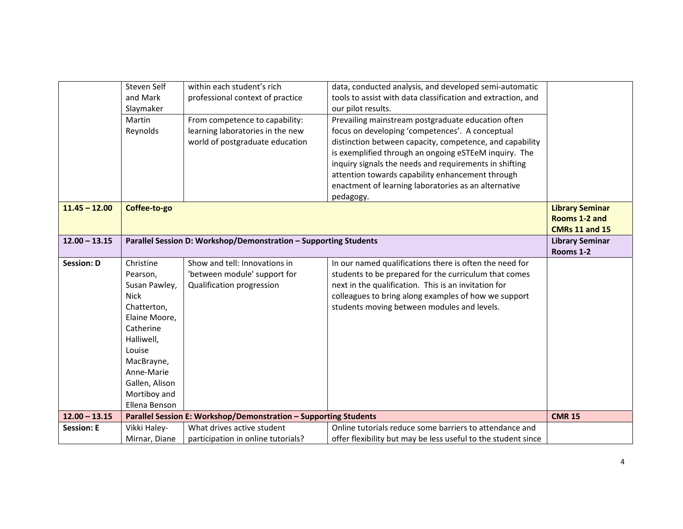|                   | Steven Self    | within each student's rich                                       | data, conducted analysis, and developed semi-automatic        |                        |
|-------------------|----------------|------------------------------------------------------------------|---------------------------------------------------------------|------------------------|
|                   | and Mark       | professional context of practice                                 | tools to assist with data classification and extraction, and  |                        |
|                   | Slaymaker      |                                                                  | our pilot results.                                            |                        |
|                   | Martin         | From competence to capability:                                   | Prevailing mainstream postgraduate education often            |                        |
|                   | Reynolds       | learning laboratories in the new                                 | focus on developing 'competences'. A conceptual               |                        |
|                   |                | world of postgraduate education                                  | distinction between capacity, competence, and capability      |                        |
|                   |                |                                                                  | is exemplified through an ongoing eSTEeM inquiry. The         |                        |
|                   |                |                                                                  | inquiry signals the needs and requirements in shifting        |                        |
|                   |                |                                                                  | attention towards capability enhancement through              |                        |
|                   |                |                                                                  | enactment of learning laboratories as an alternative          |                        |
|                   |                |                                                                  | pedagogy.                                                     |                        |
| $11.45 - 12.00$   | Coffee-to-go   |                                                                  |                                                               | <b>Library Seminar</b> |
|                   |                |                                                                  |                                                               | Rooms 1-2 and          |
|                   |                |                                                                  |                                                               | <b>CMRs 11 and 15</b>  |
| $12.00 - 13.15$   |                | Parallel Session D: Workshop/Demonstration - Supporting Students |                                                               | <b>Library Seminar</b> |
|                   |                |                                                                  |                                                               | Rooms 1-2              |
| <b>Session: D</b> | Christine      | Show and tell: Innovations in                                    | In our named qualifications there is often the need for       |                        |
|                   | Pearson,       | 'between module' support for                                     | students to be prepared for the curriculum that comes         |                        |
|                   | Susan Pawley,  | Qualification progression                                        | next in the qualification. This is an invitation for          |                        |
|                   | <b>Nick</b>    |                                                                  | colleagues to bring along examples of how we support          |                        |
|                   | Chatterton,    |                                                                  | students moving between modules and levels.                   |                        |
|                   | Elaine Moore,  |                                                                  |                                                               |                        |
|                   | Catherine      |                                                                  |                                                               |                        |
|                   | Halliwell,     |                                                                  |                                                               |                        |
|                   | Louise         |                                                                  |                                                               |                        |
|                   | MacBrayne,     |                                                                  |                                                               |                        |
|                   | Anne-Marie     |                                                                  |                                                               |                        |
|                   | Gallen, Alison |                                                                  |                                                               |                        |
|                   | Mortiboy and   |                                                                  |                                                               |                        |
|                   | Ellena Benson  |                                                                  |                                                               |                        |
| $12.00 - 13.15$   |                | Parallel Session E: Workshop/Demonstration - Supporting Students |                                                               | <b>CMR 15</b>          |
| <b>Session: E</b> | Vikki Haley-   | What drives active student                                       | Online tutorials reduce some barriers to attendance and       |                        |
|                   | Mirnar, Diane  | participation in online tutorials?                               | offer flexibility but may be less useful to the student since |                        |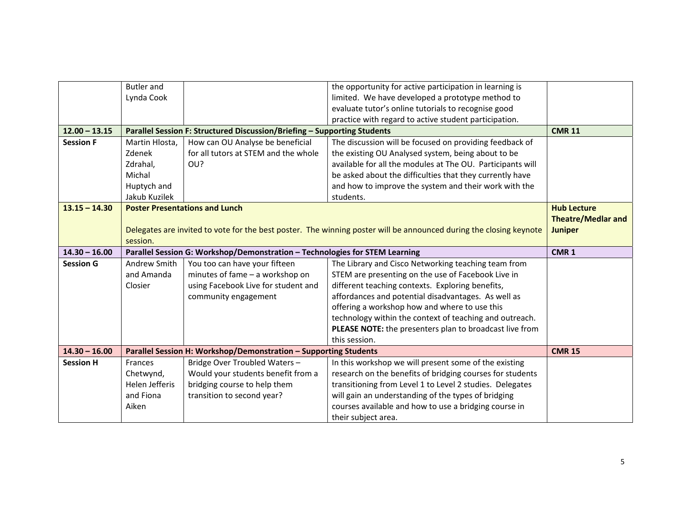|                  | <b>Butler</b> and |                                                                             | the opportunity for active participation in learning is                                                            |                           |
|------------------|-------------------|-----------------------------------------------------------------------------|--------------------------------------------------------------------------------------------------------------------|---------------------------|
|                  | Lynda Cook        |                                                                             | limited. We have developed a prototype method to                                                                   |                           |
|                  |                   |                                                                             | evaluate tutor's online tutorials to recognise good                                                                |                           |
|                  |                   |                                                                             | practice with regard to active student participation.                                                              |                           |
| $12.00 - 13.15$  |                   | Parallel Session F: Structured Discussion/Briefing - Supporting Students    |                                                                                                                    | <b>CMR 11</b>             |
| <b>Session F</b> | Martin Hlosta,    | How can OU Analyse be beneficial                                            | The discussion will be focused on providing feedback of                                                            |                           |
|                  | Zdenek            | for all tutors at STEM and the whole                                        | the existing OU Analysed system, being about to be                                                                 |                           |
|                  | Zdrahal,          | OU?                                                                         | available for all the modules at The OU. Participants will                                                         |                           |
|                  | Michal            |                                                                             | be asked about the difficulties that they currently have                                                           |                           |
|                  | Huptych and       |                                                                             | and how to improve the system and their work with the                                                              |                           |
|                  | Jakub Kuzilek     |                                                                             | students.                                                                                                          |                           |
| $13.15 - 14.30$  |                   | <b>Poster Presentations and Lunch</b>                                       |                                                                                                                    | <b>Hub Lecture</b>        |
|                  |                   |                                                                             |                                                                                                                    | <b>Theatre/Medlar and</b> |
|                  |                   |                                                                             | Delegates are invited to vote for the best poster. The winning poster will be announced during the closing keynote | <b>Juniper</b>            |
|                  | session.          |                                                                             |                                                                                                                    |                           |
| $14.30 - 16.00$  |                   | Parallel Session G: Workshop/Demonstration - Technologies for STEM Learning |                                                                                                                    | CMR <sub>1</sub>          |
| <b>Session G</b> | Andrew Smith      | You too can have your fifteen                                               | The Library and Cisco Networking teaching team from                                                                |                           |
|                  | and Amanda        | minutes of fame - a workshop on                                             | STEM are presenting on the use of Facebook Live in                                                                 |                           |
|                  | Closier           | using Facebook Live for student and                                         | different teaching contexts. Exploring benefits,                                                                   |                           |
|                  |                   | community engagement                                                        | affordances and potential disadvantages. As well as                                                                |                           |
|                  |                   |                                                                             | offering a workshop how and where to use this                                                                      |                           |
|                  |                   |                                                                             | technology within the context of teaching and outreach.                                                            |                           |
|                  |                   |                                                                             | PLEASE NOTE: the presenters plan to broadcast live from                                                            |                           |
|                  |                   |                                                                             | this session.                                                                                                      |                           |
| $14.30 - 16.00$  |                   | Parallel Session H: Workshop/Demonstration - Supporting Students            |                                                                                                                    | <b>CMR 15</b>             |
| <b>Session H</b> | <b>Frances</b>    | Bridge Over Troubled Waters -                                               | In this workshop we will present some of the existing                                                              |                           |
|                  | Chetwynd,         | Would your students benefit from a                                          | research on the benefits of bridging courses for students                                                          |                           |
|                  | Helen Jefferis    | bridging course to help them                                                | transitioning from Level 1 to Level 2 studies. Delegates                                                           |                           |
|                  | and Fiona         | transition to second year?                                                  | will gain an understanding of the types of bridging                                                                |                           |
|                  | Aiken             |                                                                             |                                                                                                                    |                           |
|                  |                   |                                                                             | courses available and how to use a bridging course in                                                              |                           |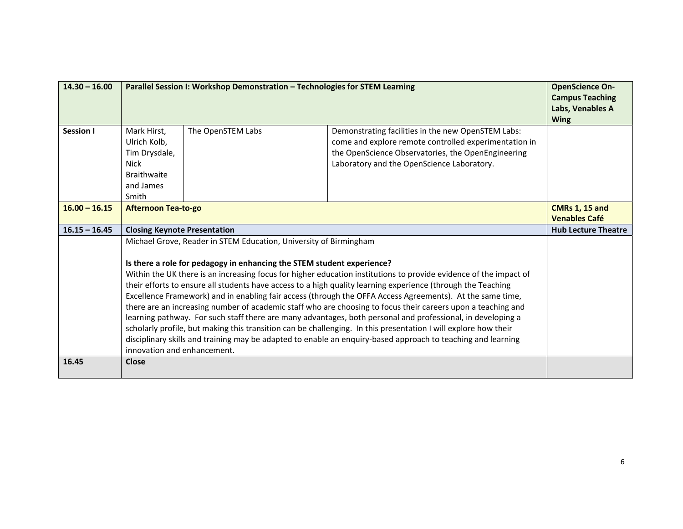| $14.30 - 16.00$  | Parallel Session I: Workshop Demonstration - Technologies for STEM Learning                                                                                                                                                                                                                                                                                                                                                                                                                                                                                                                                                                                                                                                                                                                                                                                                                                                                                                                    |                   | <b>OpenScience On-</b><br><b>Campus Teaching</b><br>Labs, Venables A<br><b>Wing</b>                                                                                                                             |  |
|------------------|------------------------------------------------------------------------------------------------------------------------------------------------------------------------------------------------------------------------------------------------------------------------------------------------------------------------------------------------------------------------------------------------------------------------------------------------------------------------------------------------------------------------------------------------------------------------------------------------------------------------------------------------------------------------------------------------------------------------------------------------------------------------------------------------------------------------------------------------------------------------------------------------------------------------------------------------------------------------------------------------|-------------------|-----------------------------------------------------------------------------------------------------------------------------------------------------------------------------------------------------------------|--|
| <b>Session I</b> | Mark Hirst,<br>Ulrich Kolb,<br>Tim Drysdale,<br><b>Nick</b><br><b>Braithwaite</b><br>and James<br>Smith                                                                                                                                                                                                                                                                                                                                                                                                                                                                                                                                                                                                                                                                                                                                                                                                                                                                                        | The OpenSTEM Labs | Demonstrating facilities in the new OpenSTEM Labs:<br>come and explore remote controlled experimentation in<br>the OpenScience Observatories, the OpenEngineering<br>Laboratory and the OpenScience Laboratory. |  |
| $16.00 - 16.15$  | <b>Afternoon Tea-to-go</b>                                                                                                                                                                                                                                                                                                                                                                                                                                                                                                                                                                                                                                                                                                                                                                                                                                                                                                                                                                     |                   | <b>CMRs 1, 15 and</b><br><b>Venables Café</b>                                                                                                                                                                   |  |
| $16.15 - 16.45$  | <b>Closing Keynote Presentation</b>                                                                                                                                                                                                                                                                                                                                                                                                                                                                                                                                                                                                                                                                                                                                                                                                                                                                                                                                                            |                   | <b>Hub Lecture Theatre</b>                                                                                                                                                                                      |  |
|                  | Michael Grove, Reader in STEM Education, University of Birmingham<br>Is there a role for pedagogy in enhancing the STEM student experience?<br>Within the UK there is an increasing focus for higher education institutions to provide evidence of the impact of<br>their efforts to ensure all students have access to a high quality learning experience (through the Teaching<br>Excellence Framework) and in enabling fair access (through the OFFA Access Agreements). At the same time,<br>there are an increasing number of academic staff who are choosing to focus their careers upon a teaching and<br>learning pathway. For such staff there are many advantages, both personal and professional, in developing a<br>scholarly profile, but making this transition can be challenging. In this presentation I will explore how their<br>disciplinary skills and training may be adapted to enable an enquiry-based approach to teaching and learning<br>innovation and enhancement. |                   |                                                                                                                                                                                                                 |  |
| 16.45            | <b>Close</b>                                                                                                                                                                                                                                                                                                                                                                                                                                                                                                                                                                                                                                                                                                                                                                                                                                                                                                                                                                                   |                   |                                                                                                                                                                                                                 |  |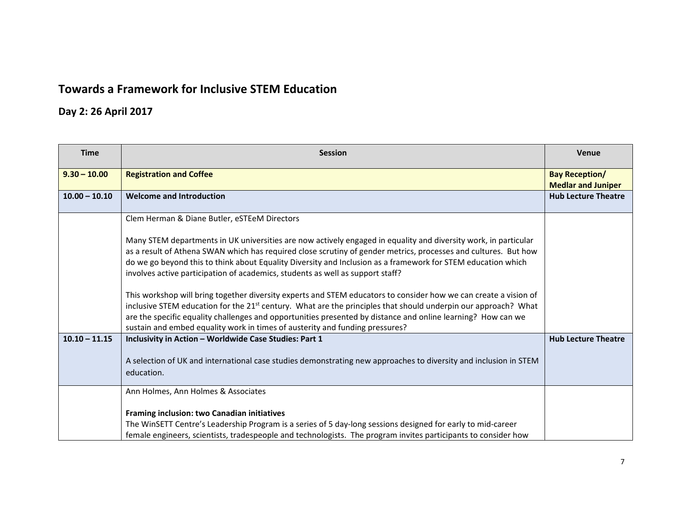## **Towards a Framework for Inclusive STEM Education**

# **Day 2: 26 April 2017**

| <b>Time</b>     | <b>Session</b>                                                                                                                                                                                 | <b>Venue</b>                                       |
|-----------------|------------------------------------------------------------------------------------------------------------------------------------------------------------------------------------------------|----------------------------------------------------|
| $9.30 - 10.00$  | <b>Registration and Coffee</b>                                                                                                                                                                 | <b>Bay Reception/</b><br><b>Medlar and Juniper</b> |
| $10.00 - 10.10$ | <b>Welcome and Introduction</b>                                                                                                                                                                | <b>Hub Lecture Theatre</b>                         |
|                 | Clem Herman & Diane Butler, eSTEeM Directors                                                                                                                                                   |                                                    |
|                 | Many STEM departments in UK universities are now actively engaged in equality and diversity work, in particular                                                                                |                                                    |
|                 | as a result of Athena SWAN which has required close scrutiny of gender metrics, processes and cultures. But how                                                                                |                                                    |
|                 | do we go beyond this to think about Equality Diversity and Inclusion as a framework for STEM education which<br>involves active participation of academics, students as well as support staff? |                                                    |
|                 | This workshop will bring together diversity experts and STEM educators to consider how we can create a vision of                                                                               |                                                    |
|                 | inclusive STEM education for the 21 <sup>st</sup> century. What are the principles that should underpin our approach? What                                                                     |                                                    |
|                 | are the specific equality challenges and opportunities presented by distance and online learning? How can we<br>sustain and embed equality work in times of austerity and funding pressures?   |                                                    |
| $10.10 - 11.15$ | Inclusivity in Action - Worldwide Case Studies: Part 1                                                                                                                                         | <b>Hub Lecture Theatre</b>                         |
|                 | A selection of UK and international case studies demonstrating new approaches to diversity and inclusion in STEM                                                                               |                                                    |
|                 | education.                                                                                                                                                                                     |                                                    |
|                 | Ann Holmes, Ann Holmes & Associates                                                                                                                                                            |                                                    |
|                 | Framing inclusion: two Canadian initiatives                                                                                                                                                    |                                                    |
|                 | The WinSETT Centre's Leadership Program is a series of 5 day-long sessions designed for early to mid-career                                                                                    |                                                    |
|                 | female engineers, scientists, tradespeople and technologists. The program invites participants to consider how                                                                                 |                                                    |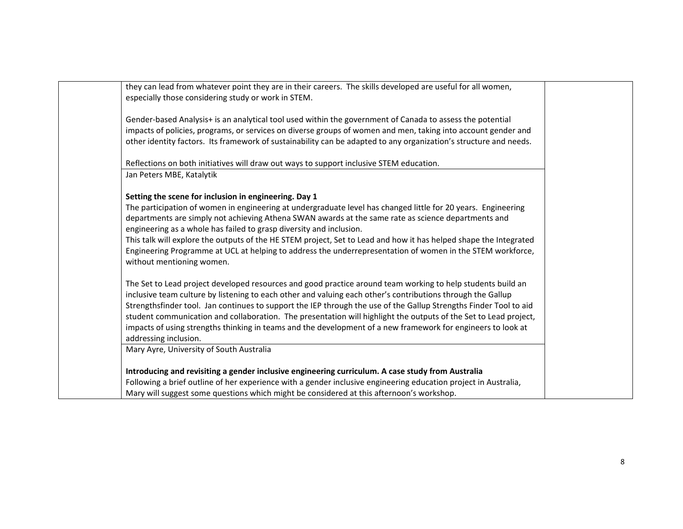| they can lead from whatever point they are in their careers. The skills developed are useful for all women,<br>especially those considering study or work in STEM. |  |
|--------------------------------------------------------------------------------------------------------------------------------------------------------------------|--|
|                                                                                                                                                                    |  |
| Gender-based Analysis+ is an analytical tool used within the government of Canada to assess the potential                                                          |  |
| impacts of policies, programs, or services on diverse groups of women and men, taking into account gender and                                                      |  |
| other identity factors. Its framework of sustainability can be adapted to any organization's structure and needs.                                                  |  |
| Reflections on both initiatives will draw out ways to support inclusive STEM education.                                                                            |  |
| Jan Peters MBE, Katalytik                                                                                                                                          |  |
| Setting the scene for inclusion in engineering. Day 1                                                                                                              |  |
| The participation of women in engineering at undergraduate level has changed little for 20 years. Engineering                                                      |  |
| departments are simply not achieving Athena SWAN awards at the same rate as science departments and                                                                |  |
| engineering as a whole has failed to grasp diversity and inclusion.                                                                                                |  |
| This talk will explore the outputs of the HE STEM project, Set to Lead and how it has helped shape the Integrated                                                  |  |
| Engineering Programme at UCL at helping to address the underrepresentation of women in the STEM workforce,                                                         |  |
| without mentioning women.                                                                                                                                          |  |
| The Set to Lead project developed resources and good practice around team working to help students build an                                                        |  |
| inclusive team culture by listening to each other and valuing each other's contributions through the Gallup                                                        |  |
| Strengthsfinder tool. Jan continues to support the IEP through the use of the Gallup Strengths Finder Tool to aid                                                  |  |
| student communication and collaboration. The presentation will highlight the outputs of the Set to Lead project,                                                   |  |
| impacts of using strengths thinking in teams and the development of a new framework for engineers to look at                                                       |  |
| addressing inclusion.                                                                                                                                              |  |
|                                                                                                                                                                    |  |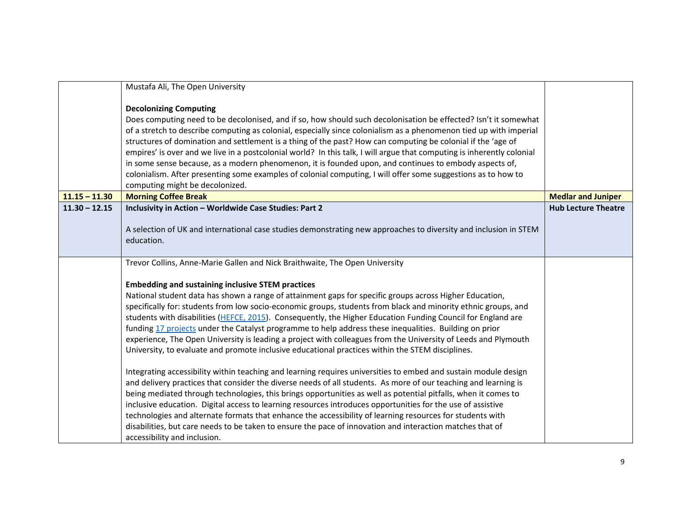|                 | Mustafa Ali, The Open University                                                                                                                                                                                                                                                                                                                                                                                                                                                                                                                                                                                                                                                                                                                                               |                            |
|-----------------|--------------------------------------------------------------------------------------------------------------------------------------------------------------------------------------------------------------------------------------------------------------------------------------------------------------------------------------------------------------------------------------------------------------------------------------------------------------------------------------------------------------------------------------------------------------------------------------------------------------------------------------------------------------------------------------------------------------------------------------------------------------------------------|----------------------------|
|                 | <b>Decolonizing Computing</b><br>Does computing need to be decolonised, and if so, how should such decolonisation be effected? Isn't it somewhat<br>of a stretch to describe computing as colonial, especially since colonialism as a phenomenon tied up with imperial<br>structures of domination and settlement is a thing of the past? How can computing be colonial if the 'age of<br>empires' is over and we live in a postcolonial world? In this talk, I will argue that computing is inherently colonial<br>in some sense because, as a modern phenomenon, it is founded upon, and continues to embody aspects of,<br>colonialism. After presenting some examples of colonial computing, I will offer some suggestions as to how to<br>computing might be decolonized. |                            |
| $11.15 - 11.30$ | <b>Morning Coffee Break</b>                                                                                                                                                                                                                                                                                                                                                                                                                                                                                                                                                                                                                                                                                                                                                    | <b>Medlar and Juniper</b>  |
| $11.30 - 12.15$ | Inclusivity in Action - Worldwide Case Studies: Part 2<br>A selection of UK and international case studies demonstrating new approaches to diversity and inclusion in STEM<br>education.                                                                                                                                                                                                                                                                                                                                                                                                                                                                                                                                                                                       | <b>Hub Lecture Theatre</b> |
|                 | Trevor Collins, Anne-Marie Gallen and Nick Braithwaite, The Open University                                                                                                                                                                                                                                                                                                                                                                                                                                                                                                                                                                                                                                                                                                    |                            |
|                 | <b>Embedding and sustaining inclusive STEM practices</b><br>National student data has shown a range of attainment gaps for specific groups across Higher Education,<br>specifically for: students from low socio-economic groups, students from black and minority ethnic groups, and<br>students with disabilities (HEFCE, 2015). Consequently, the Higher Education Funding Council for England are<br>funding 17 projects under the Catalyst programme to help address these inequalities. Building on prior<br>experience, The Open University is leading a project with colleagues from the University of Leeds and Plymouth<br>University, to evaluate and promote inclusive educational practices within the STEM disciplines.                                          |                            |
|                 | Integrating accessibility within teaching and learning requires universities to embed and sustain module design<br>and delivery practices that consider the diverse needs of all students. As more of our teaching and learning is<br>being mediated through technologies, this brings opportunities as well as potential pitfalls, when it comes to<br>inclusive education. Digital access to learning resources introduces opportunities for the use of assistive<br>technologies and alternate formats that enhance the accessibility of learning resources for students with<br>disabilities, but care needs to be taken to ensure the pace of innovation and interaction matches that of<br>accessibility and inclusion.                                                  |                            |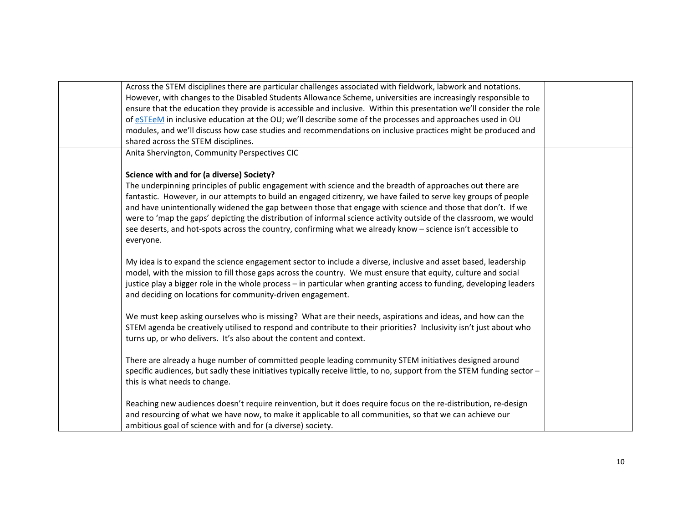| Across the STEM disciplines there are particular challenges associated with fieldwork, labwork and notations.           |  |
|-------------------------------------------------------------------------------------------------------------------------|--|
| However, with changes to the Disabled Students Allowance Scheme, universities are increasingly responsible to           |  |
| ensure that the education they provide is accessible and inclusive. Within this presentation we'll consider the role    |  |
| of eSTEeM in inclusive education at the OU; we'll describe some of the processes and approaches used in OU              |  |
| modules, and we'll discuss how case studies and recommendations on inclusive practices might be produced and            |  |
| shared across the STEM disciplines.                                                                                     |  |
| Anita Shervington, Community Perspectives CIC                                                                           |  |
|                                                                                                                         |  |
| Science with and for (a diverse) Society?                                                                               |  |
| The underpinning principles of public engagement with science and the breadth of approaches out there are               |  |
| fantastic. However, in our attempts to build an engaged citizenry, we have failed to serve key groups of people         |  |
| and have unintentionally widened the gap between those that engage with science and those that don't. If we             |  |
| were to 'map the gaps' depicting the distribution of informal science activity outside of the classroom, we would       |  |
| see deserts, and hot-spots across the country, confirming what we already know - science isn't accessible to            |  |
| everyone.                                                                                                               |  |
| My idea is to expand the science engagement sector to include a diverse, inclusive and asset based, leadership          |  |
| model, with the mission to fill those gaps across the country. We must ensure that equity, culture and social           |  |
| justice play a bigger role in the whole process - in particular when granting access to funding, developing leaders     |  |
| and deciding on locations for community-driven engagement.                                                              |  |
|                                                                                                                         |  |
| We must keep asking ourselves who is missing? What are their needs, aspirations and ideas, and how can the              |  |
| STEM agenda be creatively utilised to respond and contribute to their priorities? Inclusivity isn't just about who      |  |
| turns up, or who delivers. It's also about the content and context.                                                     |  |
|                                                                                                                         |  |
| There are already a huge number of committed people leading community STEM initiatives designed around                  |  |
| specific audiences, but sadly these initiatives typically receive little, to no, support from the STEM funding sector - |  |
| this is what needs to change.                                                                                           |  |
|                                                                                                                         |  |
| Reaching new audiences doesn't require reinvention, but it does require focus on the re-distribution, re-design         |  |
| and resourcing of what we have now, to make it applicable to all communities, so that we can achieve our                |  |
| ambitious goal of science with and for (a diverse) society.                                                             |  |